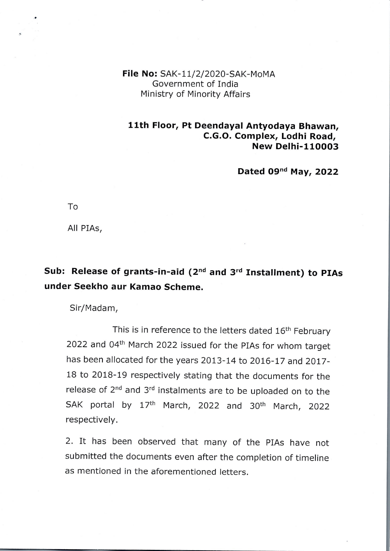**File No:** SAK-11/2/2020-SAK-MOMA Government of India Ministry of Minority Affairs

## **11th Floor, Pt Deendayal Antyodaya Bhawan, C.G.O. Complex, Lodhi Road, New Delhi-110003**

**Dated 09d May, 2022**

To

All PIAs,

## **Sub: Release of grants-in-aid (27d and 3° Installment) to PIAs under Seekho aur Kamao Scheme.**

Sir/Madam,

This is in reference to the letters dated 16<sup>th</sup> February 2022 and 04<sup>th</sup> March 2022 issued for the PIAs for whom target has been allocated for the years 2013-14 to 2016-17 and 2017- <sup>18</sup> to 2018-19 respectively stating that the documents for the release of 2<sup>nd</sup> and 3<sup>rd</sup> instalments are to be uploaded on to the SAK portal by 17<sup>th</sup> March, 2022 and 30<sup>th</sup> March, 2022 respectively.

2. It has been observed that many of the PIAs have not submitted the documents even after the completion of timeline as mentioned in the aforementioned letters.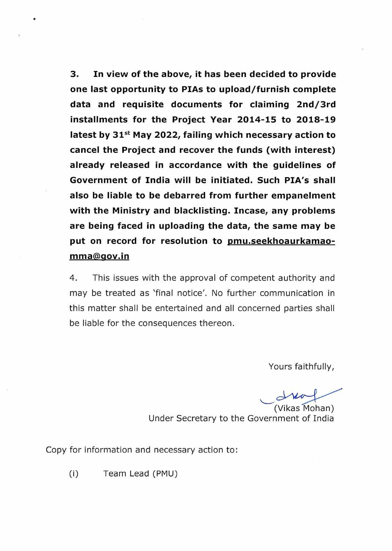**3. In view of the above, it has been decided to provide one last opportunity to PIAs to upload/furnish complete data and requisite documents for claiming 2nd/3rd installments for the Project Year 2014-15 to 2018-19 latest by 31°' May 2022, failing which necessary action to cancel the Project and recover the funds (with interest) already released in accordance with the guidelines of Government of India will be initiated. Such PIA's shall also be liable to be debarred from further empanelment with the Ministry and blacklisting. Incase, any problems are being faced in uploading the data, the same may be put on record for resolution to pmu.seekhoaurkamaomma@gov.in**

4. This issues with the approval of competent authority and may be treated as 'final notice'. No further communication in this matter shall be entertained and all concerned parties shall be liable for the consequences thereon.

Yours faithfully,

Yours faithfully,<br>
U<br>
(Vikas Mohan)

Under Secretary to the Government of India

Copy for information and necessary action to:

(i) Team Lead (PMU)